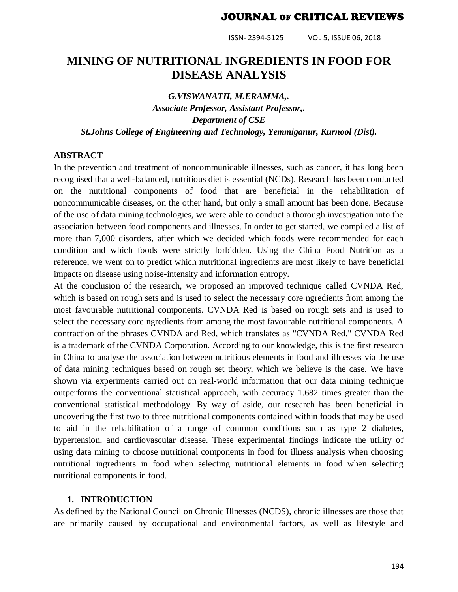ISSN- 2394-5125 VOL 5, ISSUE 06, 2018

## **MINING OF NUTRITIONAL INGREDIENTS IN FOOD FOR DISEASE ANALYSIS**

*G.VISWANATH, M.ERAMMA,. Associate Professor, Assistant Professor,. Department of CSE St.Johns College of Engineering and Technology, Yemmiganur, Kurnool (Dist).*

#### **ABSTRACT**

In the prevention and treatment of noncommunicable illnesses, such as cancer, it has long been recognised that a well-balanced, nutritious diet is essential (NCDs). Research has been conducted on the nutritional components of food that are beneficial in the rehabilitation of noncommunicable diseases, on the other hand, but only a small amount has been done. Because of the use of data mining technologies, we were able to conduct a thorough investigation into the association between food components and illnesses. In order to get started, we compiled a list of more than 7,000 disorders, after which we decided which foods were recommended for each condition and which foods were strictly forbidden. Using the China Food Nutrition as a reference, we went on to predict which nutritional ingredients are most likely to have beneficial impacts on disease using noise-intensity and information entropy.

At the conclusion of the research, we proposed an improved technique called CVNDA Red, which is based on rough sets and is used to select the necessary core ngredients from among the most favourable nutritional components. CVNDA Red is based on rough sets and is used to select the necessary core ngredients from among the most favourable nutritional components. A contraction of the phrases CVNDA and Red, which translates as "CVNDA Red." CVNDA Red is a trademark of the CVNDA Corporation. According to our knowledge, this is the first research in China to analyse the association between nutritious elements in food and illnesses via the use of data mining techniques based on rough set theory, which we believe is the case. We have shown via experiments carried out on real-world information that our data mining technique outperforms the conventional statistical approach, with accuracy 1.682 times greater than the conventional statistical methodology. By way of aside, our research has been beneficial in uncovering the first two to three nutritional components contained within foods that may be used to aid in the rehabilitation of a range of common conditions such as type 2 diabetes, hypertension, and cardiovascular disease. These experimental findings indicate the utility of using data mining to choose nutritional components in food for illness analysis when choosing nutritional ingredients in food when selecting nutritional elements in food when selecting nutritional components in food.

#### **1. INTRODUCTION**

As defined by the National Council on Chronic Illnesses (NCDS), chronic illnesses are those that are primarily caused by occupational and environmental factors, as well as lifestyle and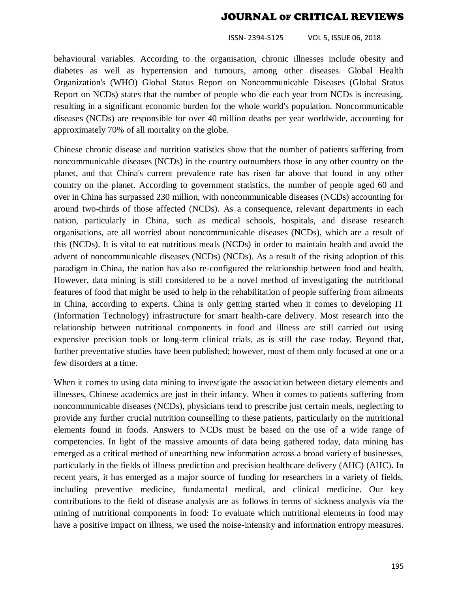ISSN- 2394-5125 VOL 5, ISSUE 06, 2018

behavioural variables. According to the organisation, chronic illnesses include obesity and diabetes as well as hypertension and tumours, among other diseases. Global Health Organization's (WHO) Global Status Report on Noncommunicable Diseases (Global Status Report on NCDs) states that the number of people who die each year from NCDs is increasing, resulting in a significant economic burden for the whole world's population. Noncommunicable diseases (NCDs) are responsible for over 40 million deaths per year worldwide, accounting for approximately 70% of all mortality on the globe.

Chinese chronic disease and nutrition statistics show that the number of patients suffering from noncommunicable diseases (NCDs) in the country outnumbers those in any other country on the planet, and that China's current prevalence rate has risen far above that found in any other country on the planet. According to government statistics, the number of people aged 60 and over in China has surpassed 230 million, with noncommunicable diseases (NCDs) accounting for around two-thirds of those affected (NCDs). As a consequence, relevant departments in each nation, particularly in China, such as medical schools, hospitals, and disease research organisations, are all worried about noncommunicable diseases (NCDs), which are a result of this (NCDs). It is vital to eat nutritious meals (NCDs) in order to maintain health and avoid the advent of noncommunicable diseases (NCDs) (NCDs). As a result of the rising adoption of this paradigm in China, the nation has also re-configured the relationship between food and health. However, data mining is still considered to be a novel method of investigating the nutritional features of food that might be used to help in the rehabilitation of people suffering from ailments in China, according to experts. China is only getting started when it comes to developing IT (Information Technology) infrastructure for smart health-care delivery. Most research into the relationship between nutritional components in food and illness are still carried out using expensive precision tools or long-term clinical trials, as is still the case today. Beyond that, further preventative studies have been published; however, most of them only focused at one or a few disorders at a time.

When it comes to using data mining to investigate the association between dietary elements and illnesses, Chinese academics are just in their infancy. When it comes to patients suffering from noncommunicable diseases (NCDs), physicians tend to prescribe just certain meals, neglecting to provide any further crucial nutrition counselling to these patients, particularly on the nutritional elements found in foods. Answers to NCDs must be based on the use of a wide range of competencies. In light of the massive amounts of data being gathered today, data mining has emerged as a critical method of unearthing new information across a broad variety of businesses, particularly in the fields of illness prediction and precision healthcare delivery (AHC) (AHC). In recent years, it has emerged as a major source of funding for researchers in a variety of fields, including preventive medicine, fundamental medical, and clinical medicine. Our key contributions to the field of disease analysis are as follows in terms of sickness analysis via the mining of nutritional components in food: To evaluate which nutritional elements in food may have a positive impact on illness, we used the noise-intensity and information entropy measures.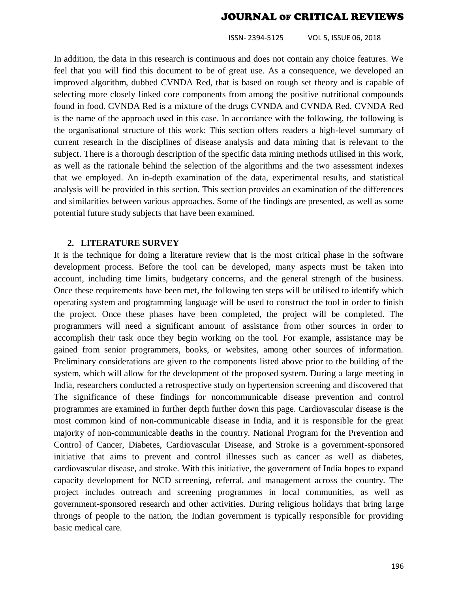ISSN- 2394-5125 VOL 5, ISSUE 06, 2018

In addition, the data in this research is continuous and does not contain any choice features. We feel that you will find this document to be of great use. As a consequence, we developed an improved algorithm, dubbed CVNDA Red, that is based on rough set theory and is capable of selecting more closely linked core components from among the positive nutritional compounds found in food. CVNDA Red is a mixture of the drugs CVNDA and CVNDA Red. CVNDA Red is the name of the approach used in this case. In accordance with the following, the following is the organisational structure of this work: This section offers readers a high-level summary of current research in the disciplines of disease analysis and data mining that is relevant to the subject. There is a thorough description of the specific data mining methods utilised in this work, as well as the rationale behind the selection of the algorithms and the two assessment indexes that we employed. An in-depth examination of the data, experimental results, and statistical analysis will be provided in this section. This section provides an examination of the differences and similarities between various approaches. Some of the findings are presented, as well as some potential future study subjects that have been examined.

#### **2. LITERATURE SURVEY**

It is the technique for doing a literature review that is the most critical phase in the software development process. Before the tool can be developed, many aspects must be taken into account, including time limits, budgetary concerns, and the general strength of the business. Once these requirements have been met, the following ten steps will be utilised to identify which operating system and programming language will be used to construct the tool in order to finish the project. Once these phases have been completed, the project will be completed. The programmers will need a significant amount of assistance from other sources in order to accomplish their task once they begin working on the tool. For example, assistance may be gained from senior programmers, books, or websites, among other sources of information. Preliminary considerations are given to the components listed above prior to the building of the system, which will allow for the development of the proposed system. During a large meeting in India, researchers conducted a retrospective study on hypertension screening and discovered that The significance of these findings for noncommunicable disease prevention and control programmes are examined in further depth further down this page. Cardiovascular disease is the most common kind of non-communicable disease in India, and it is responsible for the great majority of non-communicable deaths in the country. National Program for the Prevention and Control of Cancer, Diabetes, Cardiovascular Disease, and Stroke is a government-sponsored initiative that aims to prevent and control illnesses such as cancer as well as diabetes, cardiovascular disease, and stroke. With this initiative, the government of India hopes to expand capacity development for NCD screening, referral, and management across the country. The project includes outreach and screening programmes in local communities, as well as government-sponsored research and other activities. During religious holidays that bring large throngs of people to the nation, the Indian government is typically responsible for providing basic medical care.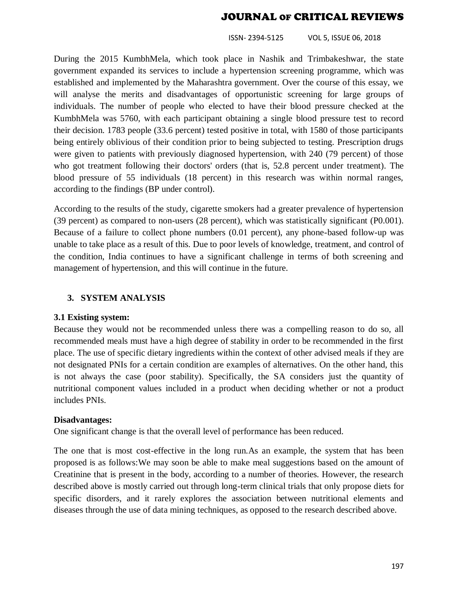ISSN- 2394-5125 VOL 5, ISSUE 06, 2018

During the 2015 KumbhMela, which took place in Nashik and Trimbakeshwar, the state government expanded its services to include a hypertension screening programme, which was established and implemented by the Maharashtra government. Over the course of this essay, we will analyse the merits and disadvantages of opportunistic screening for large groups of individuals. The number of people who elected to have their blood pressure checked at the KumbhMela was 5760, with each participant obtaining a single blood pressure test to record their decision. 1783 people (33.6 percent) tested positive in total, with 1580 of those participants being entirely oblivious of their condition prior to being subjected to testing. Prescription drugs were given to patients with previously diagnosed hypertension, with 240 (79 percent) of those who got treatment following their doctors' orders (that is, 52.8 percent under treatment). The blood pressure of 55 individuals (18 percent) in this research was within normal ranges, according to the findings (BP under control).

According to the results of the study, cigarette smokers had a greater prevalence of hypertension (39 percent) as compared to non-users (28 percent), which was statistically significant (P0.001). Because of a failure to collect phone numbers (0.01 percent), any phone-based follow-up was unable to take place as a result of this. Due to poor levels of knowledge, treatment, and control of the condition, India continues to have a significant challenge in terms of both screening and management of hypertension, and this will continue in the future.

#### **3. SYSTEM ANALYSIS**

#### **3.1 Existing system:**

Because they would not be recommended unless there was a compelling reason to do so, all recommended meals must have a high degree of stability in order to be recommended in the first place. The use of specific dietary ingredients within the context of other advised meals if they are not designated PNIs for a certain condition are examples of alternatives. On the other hand, this is not always the case (poor stability). Specifically, the SA considers just the quantity of nutritional component values included in a product when deciding whether or not a product includes PNIs.

#### **Disadvantages:**

One significant change is that the overall level of performance has been reduced.

The one that is most cost-effective in the long run.As an example, the system that has been proposed is as follows:We may soon be able to make meal suggestions based on the amount of Creatinine that is present in the body, according to a number of theories. However, the research described above is mostly carried out through long-term clinical trials that only propose diets for specific disorders, and it rarely explores the association between nutritional elements and diseases through the use of data mining techniques, as opposed to the research described above.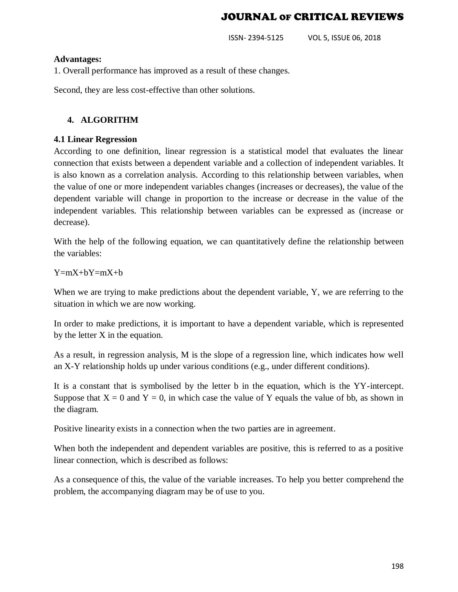ISSN- 2394-5125 VOL 5, ISSUE 06, 2018

#### **Advantages:**

1. Overall performance has improved as a result of these changes.

Second, they are less cost-effective than other solutions.

#### **4. ALGORITHM**

#### **4.1 Linear Regression**

According to one definition, linear regression is a statistical model that evaluates the linear connection that exists between a dependent variable and a collection of independent variables. It is also known as a correlation analysis. According to this relationship between variables, when the value of one or more independent variables changes (increases or decreases), the value of the dependent variable will change in proportion to the increase or decrease in the value of the independent variables. This relationship between variables can be expressed as (increase or decrease).

With the help of the following equation, we can quantitatively define the relationship between the variables:

 $Y=mX+bY=mX+b$ 

When we are trying to make predictions about the dependent variable, Y, we are referring to the situation in which we are now working.

In order to make predictions, it is important to have a dependent variable, which is represented by the letter X in the equation.

As a result, in regression analysis, M is the slope of a regression line, which indicates how well an X-Y relationship holds up under various conditions (e.g., under different conditions).

It is a constant that is symbolised by the letter b in the equation, which is the YY-intercept. Suppose that  $X = 0$  and  $Y = 0$ , in which case the value of Y equals the value of bb, as shown in the diagram.

Positive linearity exists in a connection when the two parties are in agreement.

When both the independent and dependent variables are positive, this is referred to as a positive linear connection, which is described as follows:

As a consequence of this, the value of the variable increases. To help you better comprehend the problem, the accompanying diagram may be of use to you.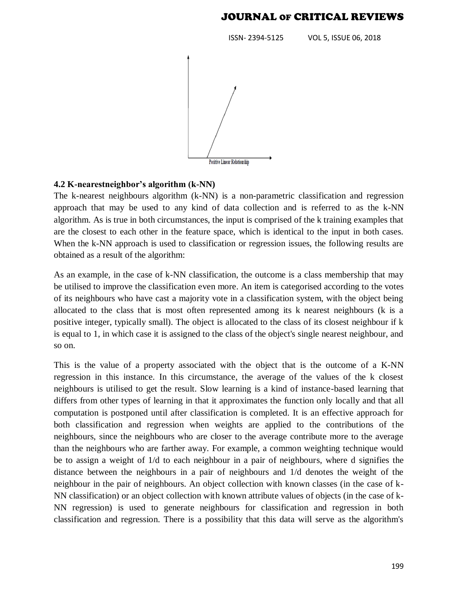ISSN- 2394-5125 VOL 5, ISSUE 06, 2018



#### **4.2 K-nearestneighbor's algorithm (k-NN)**

The k-nearest neighbours algorithm (k-NN) is a non-parametric classification and regression approach that may be used to any kind of data collection and is referred to as the k-NN algorithm. As is true in both circumstances, the input is comprised of the k training examples that are the closest to each other in the feature space, which is identical to the input in both cases. When the k-NN approach is used to classification or regression issues, the following results are obtained as a result of the algorithm:

As an example, in the case of k-NN classification, the outcome is a class membership that may be utilised to improve the classification even more. An item is categorised according to the votes of its neighbours who have cast a majority vote in a classification system, with the object being allocated to the class that is most often represented among its k nearest neighbours (k is a positive integer, typically small). The object is allocated to the class of its closest neighbour if k is equal to 1, in which case it is assigned to the class of the object's single nearest neighbour, and so on.

This is the value of a property associated with the object that is the outcome of a K-NN regression in this instance. In this circumstance, the average of the values of the k closest neighbours is utilised to get the result. Slow learning is a kind of instance-based learning that differs from other types of learning in that it approximates the function only locally and that all computation is postponed until after classification is completed. It is an effective approach for both classification and regression when weights are applied to the contributions of the neighbours, since the neighbours who are closer to the average contribute more to the average than the neighbours who are farther away. For example, a common weighting technique would be to assign a weight of 1/d to each neighbour in a pair of neighbours, where d signifies the distance between the neighbours in a pair of neighbours and 1/d denotes the weight of the neighbour in the pair of neighbours. An object collection with known classes (in the case of k-NN classification) or an object collection with known attribute values of objects (in the case of k-NN regression) is used to generate neighbours for classification and regression in both classification and regression. There is a possibility that this data will serve as the algorithm's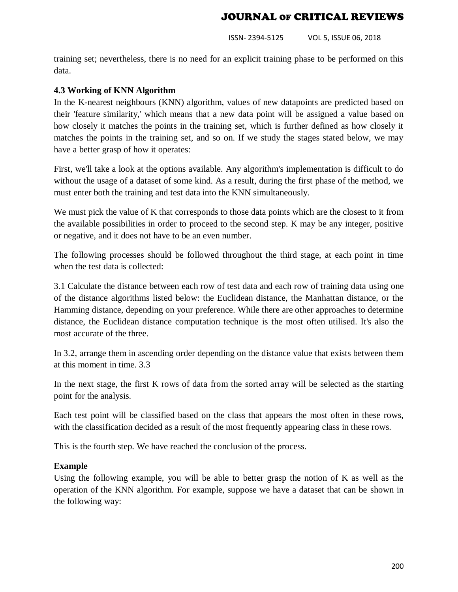ISSN- 2394-5125 VOL 5, ISSUE 06, 2018

training set; nevertheless, there is no need for an explicit training phase to be performed on this data.

#### **4.3 Working of KNN Algorithm**

In the K-nearest neighbours (KNN) algorithm, values of new datapoints are predicted based on their 'feature similarity,' which means that a new data point will be assigned a value based on how closely it matches the points in the training set, which is further defined as how closely it matches the points in the training set, and so on. If we study the stages stated below, we may have a better grasp of how it operates:

First, we'll take a look at the options available. Any algorithm's implementation is difficult to do without the usage of a dataset of some kind. As a result, during the first phase of the method, we must enter both the training and test data into the KNN simultaneously.

We must pick the value of K that corresponds to those data points which are the closest to it from the available possibilities in order to proceed to the second step. K may be any integer, positive or negative, and it does not have to be an even number.

The following processes should be followed throughout the third stage, at each point in time when the test data is collected:

3.1 Calculate the distance between each row of test data and each row of training data using one of the distance algorithms listed below: the Euclidean distance, the Manhattan distance, or the Hamming distance, depending on your preference. While there are other approaches to determine distance, the Euclidean distance computation technique is the most often utilised. It's also the most accurate of the three.

In 3.2, arrange them in ascending order depending on the distance value that exists between them at this moment in time. 3.3

In the next stage, the first K rows of data from the sorted array will be selected as the starting point for the analysis.

Each test point will be classified based on the class that appears the most often in these rows, with the classification decided as a result of the most frequently appearing class in these rows.

This is the fourth step. We have reached the conclusion of the process.

#### **Example**

Using the following example, you will be able to better grasp the notion of K as well as the operation of the KNN algorithm. For example, suppose we have a dataset that can be shown in the following way: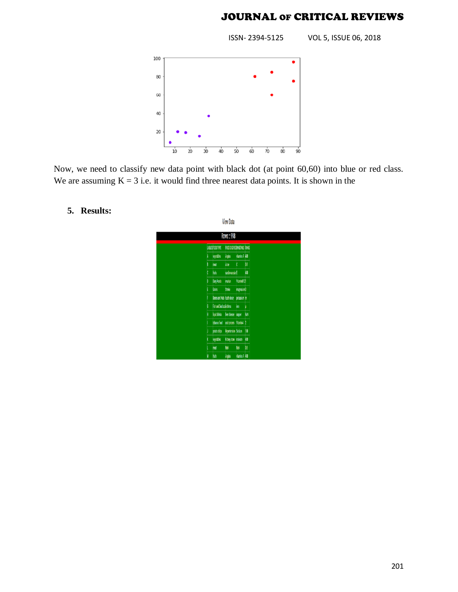ISSN- 2394-5125 VOL 5, ISSUE 06, 2018



Now, we need to classify new data point with black dot (at point 60,60) into blue or red class. We are assuming  $K = 3$  i.e. it would find three nearest data points. It is shown in the

## **5. Results:**

|    |                                              | Rows: 998                |                        |            |
|----|----------------------------------------------|--------------------------|------------------------|------------|
|    | <b>LIBLESFOOD TYPE</b>                       | FOODDISEASEMINERALS RAMS |                        |            |
| A  | vegetables                                   | Angina                   | vitamins A 400         |            |
| B  | meat                                         | Acre                     | t                      | M          |
| ¢  | fruits                                       | cardiovascular E         |                        | W)         |
| D  | Dainy Foods                                  | ovarian                  | Vitamin B121           |            |
| E  | Grains                                       | Stroke                   | magnesium <sup>3</sup> |            |
| F  | Beans and Nuts   tooth decay   potassium   m |                          |                        |            |
| 6  | Fish and Seafood Asthma inon                 |                          |                        |            |
| H  | liquid drinks                                | liver disease copper     |                        | <b>NeN</b> |
|    | tobacco food                                 | craicancers Mtamin A 2   |                        |            |
| IJ | potato chips                                 | Hypetersion Sodum        |                        | 10         |
| X  | <b>vonables</b>                              | Kidney stone Insleate    |                        | 400        |
|    | meat                                         | No.                      | <b>M</b>               | 03         |
| N  | huis                                         | Argina                   | vitamins A 400         |            |

**View Data**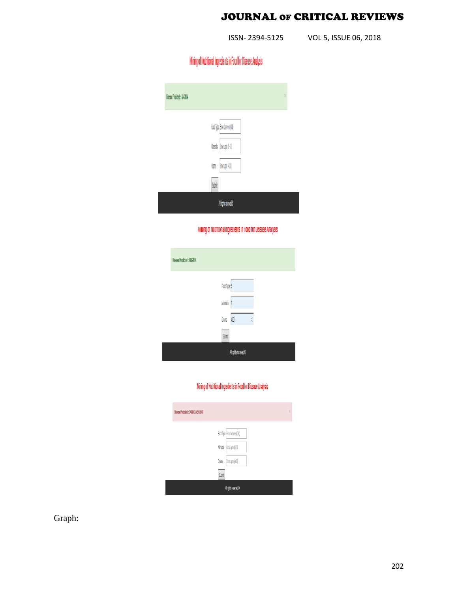ISSN- 2394-5125 VOL 5, ISSUE 06, 2018

# Mining of Nutritional Ingredients in Food for Disease Analysis

| Disease Predicted : ANGINIA  | X |
|------------------------------|---|
| Food Type :Enterbetween(0-0) |   |
| Minerals Enterupto (0-10)    |   |
| Enterupto (410)<br>Grams     |   |
| Sibnit                       |   |
| Alindra received &           |   |

Mining of Nutritional Ingredients in Food for Disease Analysis

| Disease Predicted :: ANGINIA |                               |
|------------------------------|-------------------------------|
|                              | Food Type: 5                  |
|                              | <b><i><u>Vinerals</u></i></b> |
|                              | 400<br>Grams<br>X             |
|                              | Submit                        |
|                              | All rights reserved @         |

#### Mining of Nutritional Ingredients in Food for Disease Analysis

| Disease Predicted : CARDIO VASCULAR |                               |  |
|-------------------------------------|-------------------------------|--|
|                                     | Food Type (Enter between(0-8) |  |
|                                     | Minerals Enter upto (0-10)    |  |
|                                     | Grams<br>Enter upto (401)     |  |
|                                     | Submit                        |  |
|                                     | All rights reserved @         |  |

Graph: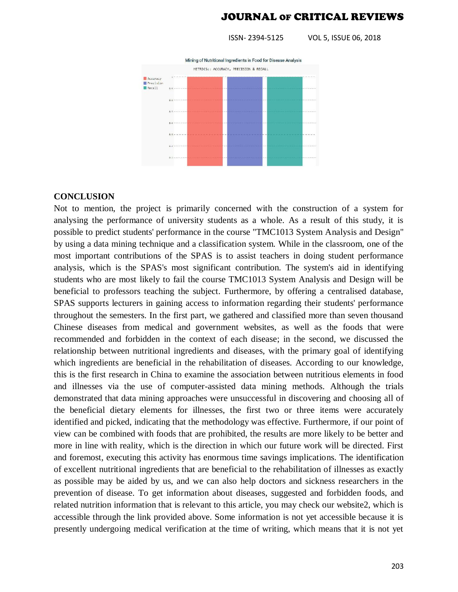ISSN- 2394-5125 VOL 5, ISSUE 06, 2018



#### **CONCLUSION**

Not to mention, the project is primarily concerned with the construction of a system for analysing the performance of university students as a whole. As a result of this study, it is possible to predict students' performance in the course "TMC1013 System Analysis and Design" by using a data mining technique and a classification system. While in the classroom, one of the most important contributions of the SPAS is to assist teachers in doing student performance analysis, which is the SPAS's most significant contribution. The system's aid in identifying students who are most likely to fail the course TMC1013 System Analysis and Design will be beneficial to professors teaching the subject. Furthermore, by offering a centralised database, SPAS supports lecturers in gaining access to information regarding their students' performance throughout the semesters. In the first part, we gathered and classified more than seven thousand Chinese diseases from medical and government websites, as well as the foods that were recommended and forbidden in the context of each disease; in the second, we discussed the relationship between nutritional ingredients and diseases, with the primary goal of identifying which ingredients are beneficial in the rehabilitation of diseases. According to our knowledge, this is the first research in China to examine the association between nutritious elements in food and illnesses via the use of computer-assisted data mining methods. Although the trials demonstrated that data mining approaches were unsuccessful in discovering and choosing all of the beneficial dietary elements for illnesses, the first two or three items were accurately identified and picked, indicating that the methodology was effective. Furthermore, if our point of view can be combined with foods that are prohibited, the results are more likely to be better and more in line with reality, which is the direction in which our future work will be directed. First and foremost, executing this activity has enormous time savings implications. The identification of excellent nutritional ingredients that are beneficial to the rehabilitation of illnesses as exactly as possible may be aided by us, and we can also help doctors and sickness researchers in the prevention of disease. To get information about diseases, suggested and forbidden foods, and related nutrition information that is relevant to this article, you may check our website2, which is accessible through the link provided above. Some information is not yet accessible because it is presently undergoing medical verification at the time of writing, which means that it is not yet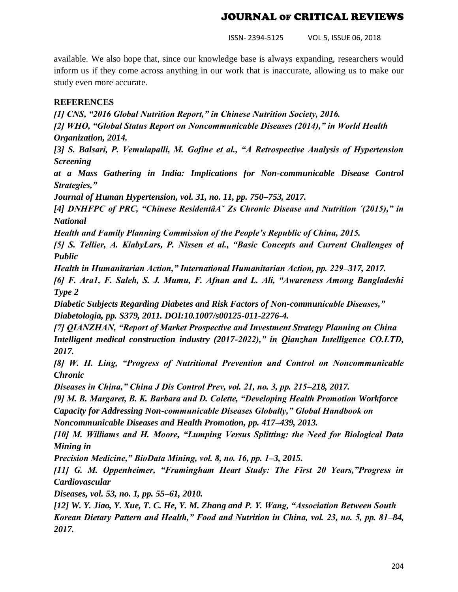ISSN- 2394-5125 VOL 5, ISSUE 06, 2018

available. We also hope that, since our knowledge base is always expanding, researchers would inform us if they come across anything in our work that is inaccurate, allowing us to make our study even more accurate.

#### **REFERENCES**

*[1] CNS, "2016 Global Nutrition Report," in Chinese Nutrition Society, 2016.*

*[2] WHO, "Global Status Report on Noncommunicable Diseases (2014)," in World Health Organization, 2014.*

*[3] S. Balsari, P. Vemulapalli, M. Gofine et al., "A Retrospective Analysis of Hypertension Screening*

*at a Mass Gathering in India: Implications for Non-communicable Disease Control Strategies,"*

*Journal of Human Hypertension, vol. 31, no. 11, pp. 750–753, 2017.*

*[4] DNHFPC of PRC, "Chinese ResidentâA˘ Zs Chronic Disease and Nutrition ´(2015)," in National*

*Health and Family Planning Commission of the People's Republic of China, 2015.*

*[5] S. Tellier, A. KiabyLars, P. Nissen et al., "Basic Concepts and Current Challenges of Public*

*Health in Humanitarian Action," International Humanitarian Action, pp. 229–317, 2017.*

*[6] F. Ara1, F. Saleh, S. J. Mumu, F. Afnan and L. Ali, "Awareness Among Bangladeshi Type 2*

*Diabetic Subjects Regarding Diabetes and Risk Factors of Non-communicable Diseases," Diabetologia, pp. S379, 2011. DOI:10.1007/s00125-011-2276-4.*

*[7] QIANZHAN, "Report of Market Prospective and Investment Strategy Planning on China Intelligent medical construction industry (2017-2022)," in Qianzhan Intelligence CO.LTD, 2017.*

*[8] W. H. Ling, "Progress of Nutritional Prevention and Control on Noncommunicable Chronic*

*Diseases in China," China J Dis Control Prev, vol. 21, no. 3, pp. 215–218, 2017.*

*[9] M. B. Margaret, B. K. Barbara and D. Colette, "Developing Health Promotion Workforce*

*Capacity for Addressing Non-communicable Diseases Globally," Global Handbook on Noncommunicable Diseases and Health Promotion, pp. 417–439, 2013.*

*[10] M. Williams and H. Moore, "Lumping Versus Splitting: the Need for Biological Data Mining in*

*Precision Medicine," BioData Mining, vol. 8, no. 16, pp. 1–3, 2015.*

*[11] G. M. Oppenheimer, "Framingham Heart Study: The First 20 Years,"Progress in Cardiovascular*

*Diseases, vol. 53, no. 1, pp. 55–61, 2010.*

*[12] W. Y. Jiao, Y. Xue, T. C. He, Y. M. Zhang and P. Y. Wang, "Association Between South Korean Dietary Pattern and Health," Food and Nutrition in China, vol. 23, no. 5, pp. 81–84, 2017.*